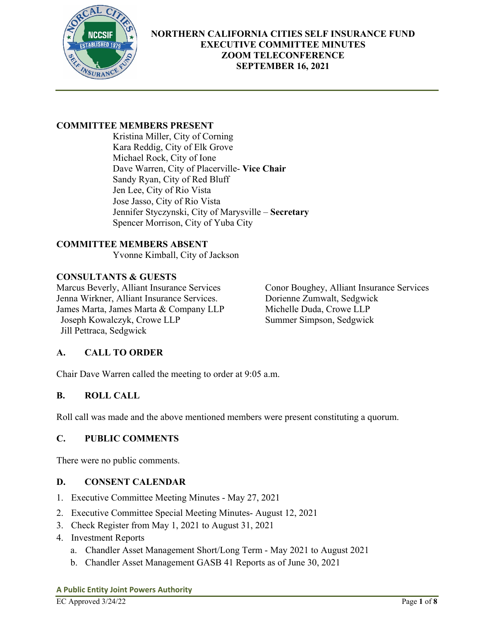

# **COMMITTEE MEMBERS PRESENT**

Kristina Miller, City of Corning Kara Reddig, City of Elk Grove Michael Rock, City of Ione Dave Warren, City of Placerville- **Vice Chair**  Sandy Ryan, City of Red Bluff Jen Lee, City of Rio Vista Jose Jasso, City of Rio Vista Jennifer Styczynski, City of Marysville – **Secretary**  Spencer Morrison, City of Yuba City

# **COMMITTEE MEMBERS ABSENT**

Yvonne Kimball, City of Jackson

# **CONSULTANTS & GUESTS**

Marcus Beverly, Alliant Insurance Services Conor Boughey, Alliant Insurance Services<br>Jenna Wirkner, Alliant Insurance Services. Dorienne Zumwalt, Sedgwick Jenna Wirkner, Alliant Insurance Services. James Marta, James Marta & Company LLP Michelle Duda, Crowe LLP Joseph Kowalczyk, Crowe LLP Summer Simpson, Sedgwick Jill Pettraca, Sedgwick

# **A. CALL TO ORDER**

Chair Dave Warren called the meeting to order at 9:05 a.m.

# **B. ROLL CALL**

Roll call was made and the above mentioned members were present constituting a quorum.

# **C. PUBLIC COMMENTS**

There were no public comments.

# **D. CONSENT CALENDAR**

- 1. Executive Committee Meeting Minutes May 27, 2021
- 2. Executive Committee Special Meeting Minutes- August 12, 2021
- 3. Check Register from May 1, 2021 to August 31, 2021
- 4. Investment Reports
	- a. Chandler Asset Management Short/Long Term May 2021 to August 2021
	- b. Chandler Asset Management GASB 41 Reports as of June 30, 2021

### **A Public Entity Joint Powers Authority**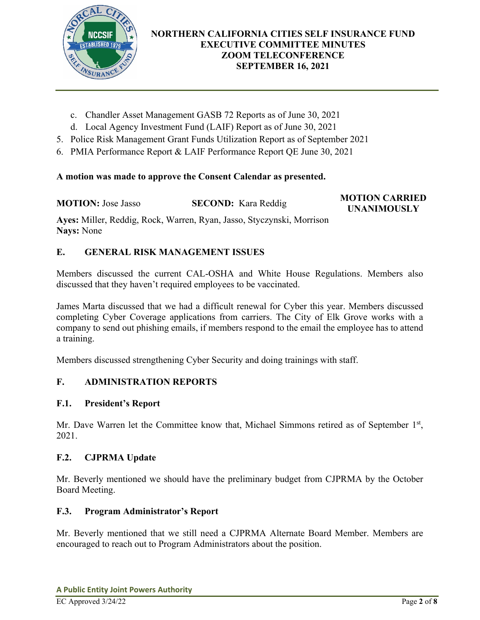

- c. Chandler Asset Management GASB 72 Reports as of June 30, 2021
- d. Local Agency Investment Fund (LAIF) Report as of June 30, 2021
- 5. Police Risk Management Grant Funds Utilization Report as of September 2021
- 6. PMIA Performance Report & LAIF Performance Report QE June 30, 2021

# **A motion was made to approve the Consent Calendar as presented.**

**MOTION:** Jose Jasso **SECOND:** Kara Reddig **MOTION CARRIED** 

**UNANIMOUSLY** 

**Ayes:** Miller, Reddig, Rock, Warren, Ryan, Jasso, Styczynski, Morrison **Nays:** None

# **E. GENERAL RISK MANAGEMENT ISSUES**

Members discussed the current CAL-OSHA and White House Regulations. Members also discussed that they haven't required employees to be vaccinated.

James Marta discussed that we had a difficult renewal for Cyber this year. Members discussed completing Cyber Coverage applications from carriers. The City of Elk Grove works with a company to send out phishing emails, if members respond to the email the employee has to attend a training.

Members discussed strengthening Cyber Security and doing trainings with staff.

# **F. ADMINISTRATION REPORTS**

# **F.1. President's Report**

Mr. Dave Warren let the Committee know that, Michael Simmons retired as of September 1<sup>st</sup>, 2021.

# **F.2. CJPRMA Update**

Mr. Beverly mentioned we should have the preliminary budget from CJPRMA by the October Board Meeting.

### **F.3. Program Administrator's Report**

Mr. Beverly mentioned that we still need a CJPRMA Alternate Board Member. Members are encouraged to reach out to Program Administrators about the position.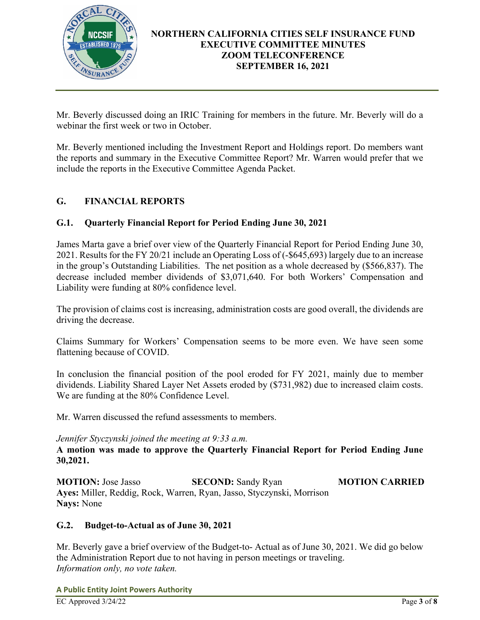

Mr. Beverly discussed doing an IRIC Training for members in the future. Mr. Beverly will do a webinar the first week or two in October.

Mr. Beverly mentioned including the Investment Report and Holdings report. Do members want the reports and summary in the Executive Committee Report? Mr. Warren would prefer that we include the reports in the Executive Committee Agenda Packet.

# **G. FINANCIAL REPORTS**

## **G.1. Quarterly Financial Report for Period Ending June 30, 2021**

James Marta gave a brief over view of the Quarterly Financial Report for Period Ending June 30, 2021. Results for the FY 20/21 include an Operating Loss of (-\$645,693) largely due to an increase in the group's Outstanding Liabilities. The net position as a whole decreased by (\$566,837). The decrease included member dividends of \$3,071,640. For both Workers' Compensation and Liability were funding at 80% confidence level.

The provision of claims cost is increasing, administration costs are good overall, the dividends are driving the decrease.

Claims Summary for Workers' Compensation seems to be more even. We have seen some flattening because of COVID.

In conclusion the financial position of the pool eroded for FY 2021, mainly due to member dividends. Liability Shared Layer Net Assets eroded by (\$731,982) due to increased claim costs. We are funding at the 80% Confidence Level.

Mr. Warren discussed the refund assessments to members.

### *Jennifer Styczynski joined the meeting at 9:33 a.m.*

**A motion was made to approve the Quarterly Financial Report for Period Ending June 30,2021.** 

**MOTION:** Jose Jasso **SECOND:** Sandy Ryan **MOTION CARRIED Ayes:** Miller, Reddig, Rock, Warren, Ryan, Jasso, Styczynski, Morrison **Nays:** None

# **G.2. Budget-to-Actual as of June 30, 2021**

Mr. Beverly gave a brief overview of the Budget-to- Actual as of June 30, 2021. We did go below the Administration Report due to not having in person meetings or traveling. *Information only, no vote taken.* 

**A Public Entity Joint Powers Authority**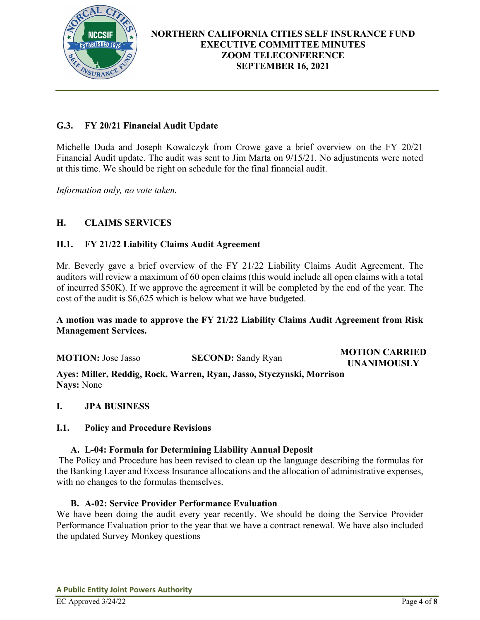

# **G.3. FY 20/21 Financial Audit Update**

Michelle Duda and Joseph Kowalczyk from Crowe gave a brief overview on the FY 20/21 Financial Audit update. The audit was sent to Jim Marta on 9/15/21. No adjustments were noted at this time. We should be right on schedule for the final financial audit.

*Information only, no vote taken.* 

# **H. CLAIMS SERVICES**

### **H.1. FY 21/22 Liability Claims Audit Agreement**

Mr. Beverly gave a brief overview of the FY 21/22 Liability Claims Audit Agreement. The auditors will review a maximum of 60 open claims (this would include all open claims with a total of incurred \$50K). If we approve the agreement it will be completed by the end of the year. The cost of the audit is \$6,625 which is below what we have budgeted.

## **A motion was made to approve the FY 21/22 Liability Claims Audit Agreement from Risk Management Services.**

**MOTION:** Jose Jasso **SECOND:** Sandy Ryan **MOTION CARRIED UNANIMOUSLY** 

**Ayes: Miller, Reddig, Rock, Warren, Ryan, Jasso, Styczynski, Morrison Nays:** None

### **I. JPA BUSINESS**

### **I.1. Policy and Procedure Revisions**

### **A. L-04: Formula for Determining Liability Annual Deposit**

The Policy and Procedure has been revised to clean up the language describing the formulas for the Banking Layer and Excess Insurance allocations and the allocation of administrative expenses, with no changes to the formulas themselves.

### **B. A-02: Service Provider Performance Evaluation**

We have been doing the audit every year recently. We should be doing the Service Provider Performance Evaluation prior to the year that we have a contract renewal. We have also included the updated Survey Monkey questions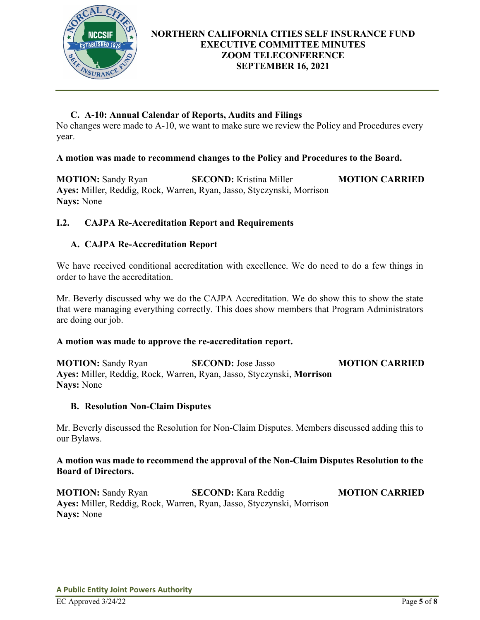

# **C. A-10: Annual Calendar of Reports, Audits and Filings**

No changes were made to A-10, we want to make sure we review the Policy and Procedures every year.

# **A motion was made to recommend changes to the Policy and Procedures to the Board.**

**MOTION:** Sandy Ryan **SECOND:** Kristina Miller **MOTION CARRIED Ayes:** Miller, Reddig, Rock, Warren, Ryan, Jasso, Styczynski, Morrison **Nays:** None

# **I.2. CAJPA Re-Accreditation Report and Requirements**

# **A. CAJPA Re-Accreditation Report**

We have received conditional accreditation with excellence. We do need to do a few things in order to have the accreditation.

Mr. Beverly discussed why we do the CAJPA Accreditation. We do show this to show the state that were managing everything correctly. This does show members that Program Administrators are doing our job.

### **A motion was made to approve the re-accreditation report.**

**MOTION:** Sandy Ryan **SECOND:** Jose Jasso **MOTION CARRIED Ayes:** Miller, Reddig, Rock, Warren, Ryan, Jasso, Styczynski, **Morrison Nays:** None

### **B. Resolution Non-Claim Disputes**

Mr. Beverly discussed the Resolution for Non-Claim Disputes. Members discussed adding this to our Bylaws.

# **A motion was made to recommend the approval of the Non-Claim Disputes Resolution to the Board of Directors.**

**MOTION:** Sandy Ryan **SECOND:** Kara Reddig **MOTION CARRIED Ayes:** Miller, Reddig, Rock, Warren, Ryan, Jasso, Styczynski, Morrison **Nays:** None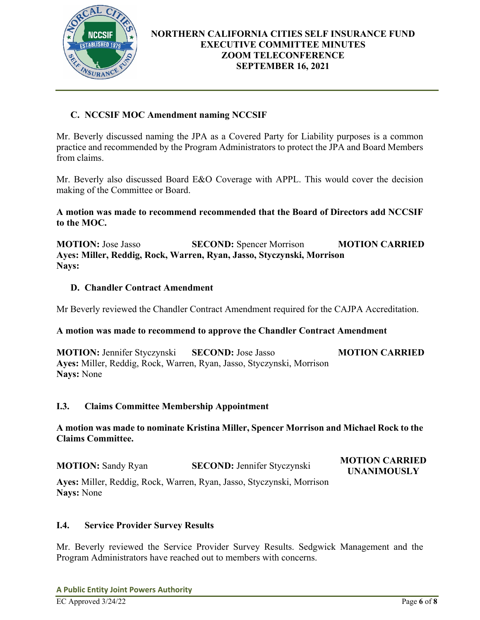

# **C. NCCSIF MOC Amendment naming NCCSIF**

Mr. Beverly discussed naming the JPA as a Covered Party for Liability purposes is a common practice and recommended by the Program Administrators to protect the JPA and Board Members from claims.

Mr. Beverly also discussed Board E&O Coverage with APPL. This would cover the decision making of the Committee or Board.

## **A motion was made to recommend recommended that the Board of Directors add NCCSIF to the MOC.**

**MOTION:** Jose Jasso **SECOND:** Spencer Morrison **MOTION CARRIED Ayes: Miller, Reddig, Rock, Warren, Ryan, Jasso, Styczynski, Morrison Nays:**

## **D. Chandler Contract Amendment**

Mr Beverly reviewed the Chandler Contract Amendment required for the CAJPA Accreditation.

### **A motion was made to recommend to approve the Chandler Contract Amendment**

**MOTION:** Jennifer Styczynski **SECOND:** Jose Jasso **MOTION CARRIED Ayes:** Miller, Reddig, Rock, Warren, Ryan, Jasso, Styczynski, Morrison **Nays:** None

### **I.3. Claims Committee Membership Appointment**

## **A motion was made to nominate Kristina Miller, Spencer Morrison and Michael Rock to the Claims Committee.**

| <b>MOTION:</b> Sandy Ryan                                             | <b>SECOND: Jennifer Styczynski</b> | <b>MOTION CARRIED</b><br><b>UNANIMOUSLY</b> |
|-----------------------------------------------------------------------|------------------------------------|---------------------------------------------|
| Ayes: Miller, Reddig, Rock, Warren, Ryan, Jasso, Styczynski, Morrison |                                    |                                             |
| <b>Nays:</b> None                                                     |                                    |                                             |

### **I.4. Service Provider Survey Results**

Mr. Beverly reviewed the Service Provider Survey Results. Sedgwick Management and the Program Administrators have reached out to members with concerns.

**A Public Entity Joint Powers Authority**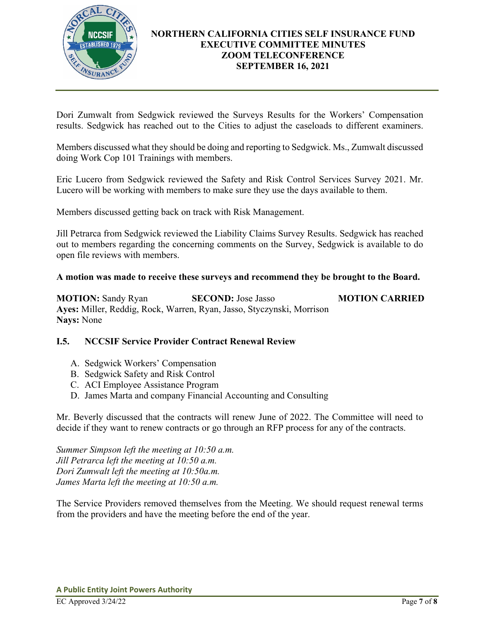

Dori Zumwalt from Sedgwick reviewed the Surveys Results for the Workers' Compensation results. Sedgwick has reached out to the Cities to adjust the caseloads to different examiners.

Members discussed what they should be doing and reporting to Sedgwick. Ms., Zumwalt discussed doing Work Cop 101 Trainings with members.

Eric Lucero from Sedgwick reviewed the Safety and Risk Control Services Survey 2021. Mr. Lucero will be working with members to make sure they use the days available to them.

Members discussed getting back on track with Risk Management.

Jill Petrarca from Sedgwick reviewed the Liability Claims Survey Results. Sedgwick has reached out to members regarding the concerning comments on the Survey, Sedgwick is available to do open file reviews with members.

### **A motion was made to receive these surveys and recommend they be brought to the Board.**

**MOTION:** Sandy Ryan **SECOND:** Jose Jasso **MOTION CARRIED Ayes:** Miller, Reddig, Rock, Warren, Ryan, Jasso, Styczynski, Morrison **Nays:** None

# **I.5. NCCSIF Service Provider Contract Renewal Review**

- A. Sedgwick Workers' Compensation
- B. Sedgwick Safety and Risk Control
- C. ACI Employee Assistance Program
- D. James Marta and company Financial Accounting and Consulting

Mr. Beverly discussed that the contracts will renew June of 2022. The Committee will need to decide if they want to renew contracts or go through an RFP process for any of the contracts.

*Summer Simpson left the meeting at 10:50 a.m. Jill Petrarca left the meeting at 10:50 a.m. Dori Zumwalt left the meeting at 10:50a.m. James Marta left the meeting at 10:50 a.m.* 

The Service Providers removed themselves from the Meeting. We should request renewal terms from the providers and have the meeting before the end of the year.